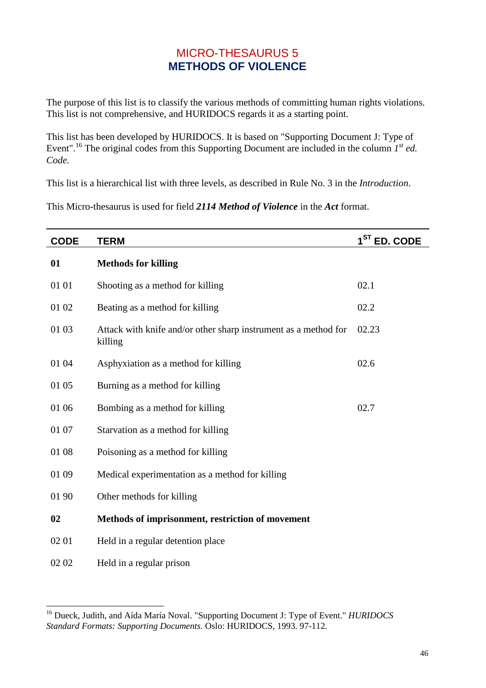## MICRO-THESAURUS 5 **METHODS OF VIOLENCE**

The purpose of this list is to classify the various methods of committing human rights violations. This list is not comprehensive, and HURIDOCS regards it as a starting point.

This list has been developed by HURIDOCS. It is based on "Supporting Document J: Type of Event".<sup>16</sup> The original codes from this Supporting Document are included in the column  $I^{st}$  *ed. Code.* 

This list is a hierarchical list with three levels, as described in Rule No. 3 in the *Introduction*.

This Micro-thesaurus is used for field *2114 Method of Violence* in the *Act* format.

| <b>CODE</b> | <b>TERM</b>                                                                | 1 <sup>ST</sup> ED. CODE |
|-------------|----------------------------------------------------------------------------|--------------------------|
| 01          | <b>Methods for killing</b>                                                 |                          |
| 01 01       | Shooting as a method for killing                                           | 02.1                     |
| 01 02       | Beating as a method for killing                                            | 02.2                     |
| 01 03       | Attack with knife and/or other sharp instrument as a method for<br>killing | 02.23                    |
| 01 04       | Asphyxiation as a method for killing                                       | 02.6                     |
| 01 05       | Burning as a method for killing                                            |                          |
| 01 06       | Bombing as a method for killing                                            | 02.7                     |
| 01 07       | Starvation as a method for killing                                         |                          |
| 01 08       | Poisoning as a method for killing                                          |                          |
| 01 09       | Medical experimentation as a method for killing                            |                          |
| 01 90       | Other methods for killing                                                  |                          |
| 02          | Methods of imprisonment, restriction of movement                           |                          |
| 02 01       | Held in a regular detention place                                          |                          |
| 02 02       | Held in a regular prison                                                   |                          |

l

<sup>16</sup> Dueck, Judith, and Aída María Noval. "Supporting Document J: Type of Event." *HURIDOCS Standard Formats: Supporting Documents.* Oslo: HURIDOCS, 1993. 97-112.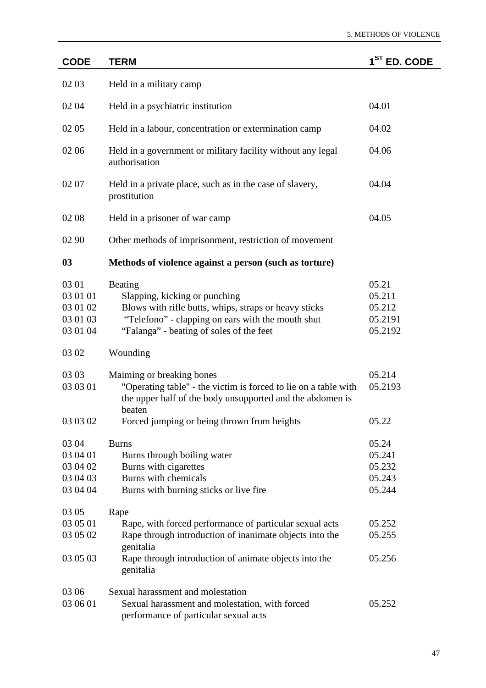| <b>CODE</b>                                           | <b>TERM</b>                                                                                                                                                                                        | 1 <sup>ST</sup> ED. CODE                        |
|-------------------------------------------------------|----------------------------------------------------------------------------------------------------------------------------------------------------------------------------------------------------|-------------------------------------------------|
| 02 03                                                 | Held in a military camp                                                                                                                                                                            |                                                 |
| 02 04                                                 | Held in a psychiatric institution                                                                                                                                                                  | 04.01                                           |
| 02 05                                                 | Held in a labour, concentration or extermination camp                                                                                                                                              | 04.02                                           |
| 02 06                                                 | Held in a government or military facility without any legal<br>authorisation                                                                                                                       | 04.06                                           |
| 02 07                                                 | Held in a private place, such as in the case of slavery,<br>prostitution                                                                                                                           | 04.04                                           |
| 02 08                                                 | Held in a prisoner of war camp                                                                                                                                                                     | 04.05                                           |
| 02 90                                                 | Other methods of imprisonment, restriction of movement                                                                                                                                             |                                                 |
| 03                                                    | Methods of violence against a person (such as torture)                                                                                                                                             |                                                 |
| 03 01<br>03 01 01<br>03 01 02<br>03 01 03<br>03 01 04 | Beating<br>Slapping, kicking or punching<br>Blows with rifle butts, whips, straps or heavy sticks<br>"Telefono" - clapping on ears with the mouth shut<br>"Falanga" - beating of soles of the feet | 05.21<br>05.211<br>05.212<br>05.2191<br>05.2192 |
| 03 02                                                 | Wounding                                                                                                                                                                                           |                                                 |
| 03 03<br>03 03 01                                     | Maiming or breaking bones<br>"Operating table" - the victim is forced to lie on a table with<br>the upper half of the body unsupported and the abdomen is<br>beaten                                | 05.214<br>05.2193                               |
| 03 03 02                                              | Forced jumping or being thrown from heights                                                                                                                                                        | 05.22                                           |
| 03 04<br>03 04 01<br>03 04 02<br>03 04 03<br>03 04 04 | <b>Burns</b><br>Burns through boiling water<br>Burns with cigarettes<br>Burns with chemicals<br>Burns with burning sticks or live fire                                                             | 05.24<br>05.241<br>05.232<br>05.243<br>05.244   |
| 03 05<br>03 05 01<br>03 05 02<br>03 05 03             | Rape<br>Rape, with forced performance of particular sexual acts<br>Rape through introduction of inanimate objects into the<br>genitalia<br>Rape through introduction of animate objects into the   | 05.252<br>05.255<br>05.256                      |
| 03 06                                                 | genitalia<br>Sexual harassment and molestation                                                                                                                                                     |                                                 |
| 03 06 01                                              | Sexual harassment and molestation, with forced<br>performance of particular sexual acts                                                                                                            | 05.252                                          |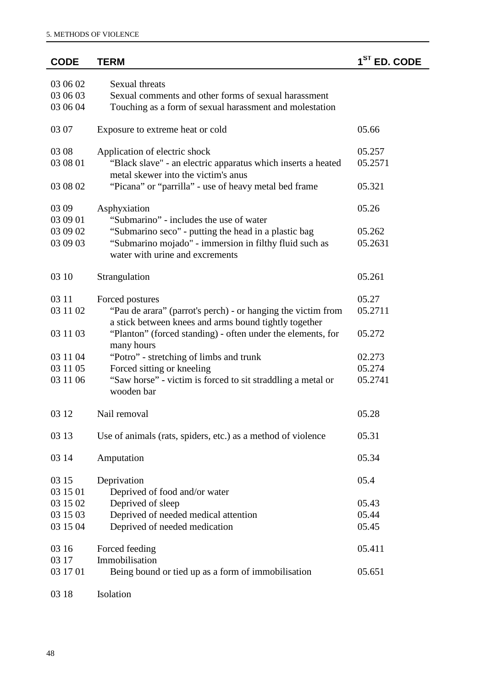| <b>CODE</b> | <b>TERM</b>                                                                                                           | 1 <sup>ST</sup><br><b>ED. CODE</b> |
|-------------|-----------------------------------------------------------------------------------------------------------------------|------------------------------------|
| 03 06 02    | <b>Sexual threats</b>                                                                                                 |                                    |
| 03 06 03    | Sexual comments and other forms of sexual harassment                                                                  |                                    |
| 03 06 04    | Touching as a form of sexual harassment and molestation                                                               |                                    |
| 03 07       | Exposure to extreme heat or cold                                                                                      | 05.66                              |
| 03 08       | Application of electric shock                                                                                         | 05.257                             |
| 03 08 01    | "Black slave" - an electric apparatus which inserts a heated<br>metal skewer into the victim's anus                   | 05.2571                            |
| 03 08 02    | "Picana" or "parrilla" - use of heavy metal bed frame                                                                 | 05.321                             |
| 03 09       | Asphyxiation                                                                                                          | 05.26                              |
| 03 09 01    | "Submarino" - includes the use of water                                                                               |                                    |
| 03 09 02    | "Submarino seco" - putting the head in a plastic bag                                                                  | 05.262                             |
| 03 09 03    | "Submarino mojado" - immersion in filthy fluid such as<br>water with urine and excrements                             | 05.2631                            |
| 03 10       | Strangulation                                                                                                         | 05.261                             |
| 03 11       | Forced postures                                                                                                       | 05.27                              |
| 03 11 02    | "Pau de arara" (parrot's perch) - or hanging the victim from<br>a stick between knees and arms bound tightly together | 05.2711                            |
| 03 11 03    | "Planton" (forced standing) - often under the elements, for<br>many hours                                             | 05.272                             |
| 03 11 04    | "Potro" - stretching of limbs and trunk                                                                               | 02.273                             |
| 03 11 05    | Forced sitting or kneeling                                                                                            | 05.274                             |
| 03 11 06    | "Saw horse" - victim is forced to sit straddling a metal or                                                           | 05.2741                            |
|             | wooden bar                                                                                                            |                                    |
| 03 12       | Nail removal                                                                                                          | 05.28                              |
| 03 13       | Use of animals (rats, spiders, etc.) as a method of violence                                                          | 05.31                              |
| 03 14       | Amputation                                                                                                            | 05.34                              |
| 03 15       | Deprivation                                                                                                           | 05.4                               |
| 03 15 01    | Deprived of food and/or water                                                                                         |                                    |
| 03 15 02    | Deprived of sleep                                                                                                     | 05.43                              |
| 03 15 03    | Deprived of needed medical attention                                                                                  | 05.44                              |
| 03 15 04    | Deprived of needed medication                                                                                         | 05.45                              |
| 03 16       | Forced feeding                                                                                                        | 05.411                             |
| 03 17       | Immobilisation                                                                                                        |                                    |
| 03 17 01    | Being bound or tied up as a form of immobilisation                                                                    | 05.651                             |
| 03 18       | Isolation                                                                                                             |                                    |